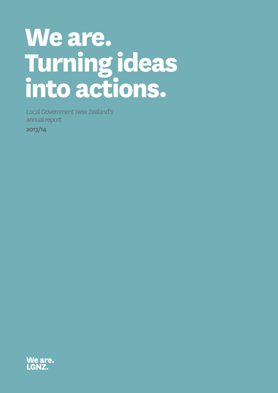# **We are. Turning ideas into actions.**

Local Government New Zealand's annual report 2013/14

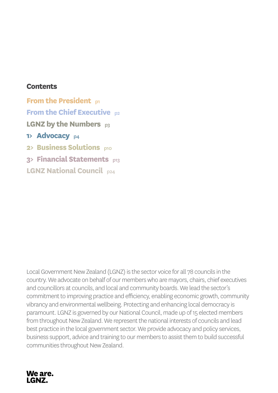# **Contents**

**From the President** p1 **From the Chief Executive** p2 **LGNZ by the Numbers** p3 1> **Advocacy** p4 **2> Business Solutions 3> Financial Statements** p13 **LGNZ National Council** p24

Local Government New Zealand (LGNZ) is the sector voice for all 78 councils in the country. We advocate on behalf of our members who are mayors, chairs, chief executives and councillors at councils, and local and community boards. We lead the sector's commitment to improving practice and efficiency, enabling economic growth, community vibrancy and environmental wellbeing. Protecting and enhancing local democracy is paramount. LGNZ is governed by our National Council, made up of 15 elected members from throughout New Zealand. We represent the national interests of councils and lead best practice in the local government sector. We provide advocacy and policy services, business support, advice and training to our members to assist them to build successful communities throughout New Zealand.

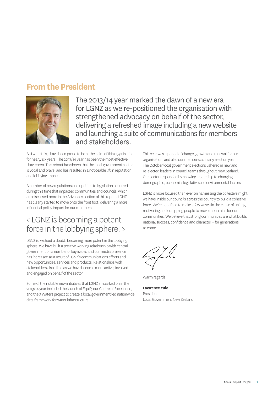# **From the President**



The 2013/14 year marked the dawn of a new era for LGNZ as we re-positioned the organisation with strengthened advocacy on behalf of the sector, delivering a refreshed image including a new website and launching a suite of communications for members and stakeholders.

As I write this, I have been proud to be at the helm of this organisation for nearly six years. The 2013/14 year has been the most effective I have seen. This reboot has shown that the local government sector is vocal and brave, and has resulted in a noticeable lift in reputation and lobbying impact.

A number of new regulations and updates to legislation occurred during this time that impacted communities and councils, which are discussed more in the Advocacy section of this report. LGNZ has clearly started to move onto the front foot, delivering a more influential policy impact for our members.

# < LGNZ is becoming a potent force in the lobbying sphere. >

LGNZ is, without a doubt, becoming more potent in the lobbying sphere. We have built a positive working relationship with central government on a number of key issues and our media presence has increased as a result of LGNZ's communications efforts and new opportunities, services and products. Relationships with stakeholders also lifted as we have become more active, involved and engaged on behalf of the sector.

Some of the notable new initiatives that LGNZ embarked on in the 2013/14 year included the launch of EquiP, our Centre of Excellence, and the 3 Waters project to create a local government led nationwide data framework for water infrastructure.

This year was a period of change, growth and renewal for our organisation, and also our members as in any election year. The October local government elections ushered in new and re-elected leaders in council teams throughout New Zealand. Our sector responded by showing leadership to changing demographic, economic, legislative and environmental factors.

LGNZ is more focused than ever on harnessing the collective might we have inside our councils across the country to build a cohesive force. We're not afraid to make a few waves in the cause of uniting, motivating and equipping people to move mountains for our communities. We believe that strong communities are what builds national success, confidence and character – for generations to come.

Warm regards

**Lawrence Yule** President Local Government New Zealand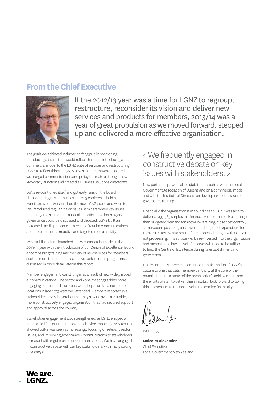# **From the Chief Executive**



If the 2012/13 year was a time for LGNZ to regroup, restructure, reconsider its vision and deliver new services and products for members, 2013/14 was a year of great propulsion as we moved forward, stepped up and delivered a more effective organisation.

The goals we achieved included shifting public positioning, introducing a brand that would reflect that shift, introducing a commercial model to the LGNZ suite of services and restructuring LGNZ to reflect this strategy. A new senior team was appointed as we merged communications and policy to create a stronger new 'Advocacy' function and created a Business Solutions directorate.

LGNZ re-positioned itself and got early runs on the board demonstrating this at a successful 2013 conference held at Hamilton, where we launched the new LGNZ brand and website. We introduced regular Major Issues Seminars where key issues impacting the sector such as localism, affordable housing and governance could be discussed and debated. LGNZ built an increased media presence as a result of regular communications and more frequent, proactive and targeted media activity.

We established and launched a new commercial model in the 2013/14 year with the introduction of our Centre of Excellence, EquiP, encompassing training and delivery of new services for members such as recruitment and an executive performance programme, discussed in more detail later in this report.

Member engagement was stronger as a result of new widely issued e-communications. The Sector and Zone meetings added more engaging content and the brand workshops held at a number of locations in late 2013 were well attended. Members reported in a stakeholder survey in October that they saw LGNZ as a valuable, more constructively engaged organisation that had secured support and approval across the country.

Stakeholder engagement also strengthened, as LGNZ enjoyed a noticeable lift in our reputation and lobbying impact. Survey results showed LGNZ was seen as increasingly focusing on relevant sector issues, and improving governance. Communication to stakeholders increased with regular external communications. We have engaged in constructive debate with our key stakeholders, with many strong advocacy outcomes.

# < We frequently engaged in constructive debate on key issues with stakeholders. >

New partnerships were also established, such as with the Local Government Association of Queensland on a commercial model, and with the Institute of Directors on developing sector-specific governance training.

Financially, the organisation is in sound health. LGNZ was able to deliver a \$133,563 surplus this financial year off the back of stronger than budgeted demand for KnowHow training, close cost control, some vacant positions, and lower than budgeted expenditure for the LGNZ rules review as a result of the proposed merger with SOLGM not proceeding. This surplus will be re-invested into the organisation and means that a lower level of reserves will need to be utilised to fund the Centre of Excellence during its establishment and growth phase.

Finally, internally, there is a continued transformation of LGNZ's culture to one that puts member-centricity at the core of the organisation. I am proud of the organisation's achievements and the efforts of staff to deliver these results. I look forward to taking this momentum to the next level in the coming financial year.

Warm regards

**Malcolm Alexander** Chief Executive Local Government New Zealand

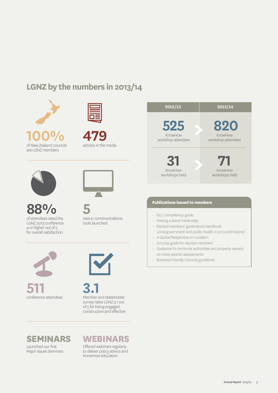# **LGNZ by the numbers in 2013/14**





**479** articles in the media





**88%**<br>of attendees rated the

LGNZ 2013 conference 4 or higher out of 5 for overall satisfaction







**3.1** Member and stakeholder survey rates LGNZ 3.1 out of 5 for being engaged, constructive and effective

**SEMINARS**

Launched our first Major Issues Seminars

# **WEBINARS**

Offered webinars regularly to deliver policy advice and KnowHow education



### **Publications issued to members**

- DLC competency guide
- Making a stand made easy
- Elected members' governance handbook
- Local government and public health in 2013 and beyond
- A Global Perspective on Localism
- 2013 tax guide for elected members
- Guidance for territorial authorities and property owners on initial seismic assessments
- Business Friendly Councils guidelines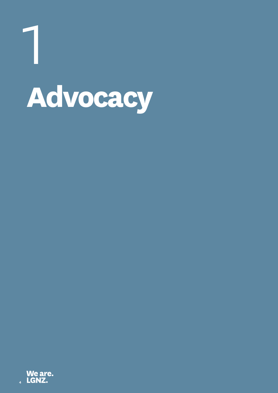**Advocacy** 1

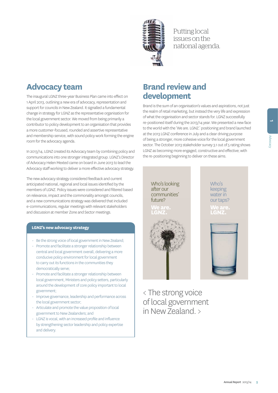

Putting local issues on the national agenda.

# **Advocacy team**

The inaugural LGNZ three-year Business Plan came into effect on 1 April 2013, outlining a new era of advocacy, representation and support for councils in New Zealand. It signalled a fundamental change in strategy for LGNZ as the representative organisation for the local government sector. We moved from being primarily a contributor to policy development to an organisation that provides a more customer-focused, rounded and assertive representative and membership service, with sound policy work forming the engine room for the advocacy agenda.

In 2013/14, LGNZ created its Advocacy team by combining policy and communications into one stronger integrated group. LGNZ's Director of Advocacy Helen Mexted came on board in June 2013 to lead the Advocacy staff working to deliver a more effective advocacy strategy.

The new advocacy strategy considered feedback and current anticipated national, regional and local issues identified by the members of LGNZ. Policy issues were considered and filtered based on relevance, impact and the commonality amongst councils, and a new communications strategy was delivered that included e-communications, regular meetings with relevant stakeholders and discussion at member Zone and Sector meetings.

### **LGNZ's new advocacy strategy**

- Be the strong voice of local government in New Zealand;
- Promote and facilitate a stronger relationship between central and local government overall, delivering a more conducive policy environment for local government to carry out its functions in the communities they democratically serve;
- Promote and facilitate a stronger relationship between local government, Ministers and policy setters, particularly around the development of core policy important to local government;
- Improve governance, leadership and performance across the local government sector;
- Articulate and promote the value proposition of local government to New Zealanders; and
- LGNZ is vocal, with an increased profile and influence by strengthening sector leadership and policy expertise and delivery.

# **Brand review and development**

Brand is the sum of an organisation's values and aspirations, not just the realm of retail marketing, but instead the very life and expression of what the organisation and sector stands for. LGNZ successfully re-positioned itself during the 2013/14 year. We presented a new face to the world with the 'We are. LGNZ.' positioning and brand launched at the 2013 LGNZ conference in July and a clear driving purpose of being a stronger, more cohesive voice for the local government sector. The October 2013 stakeholder survey 3.1 out of 5 rating shows LGNZ as becoming more engaged, constructive and effective; with the re-positioning beginning to deliver on these aims.



< The strong voice of local government in New Zealand. >

1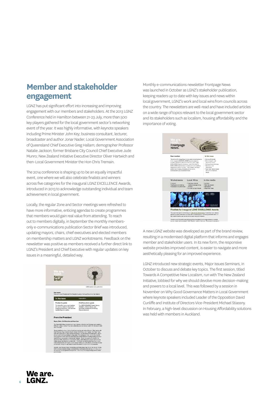# **Member and stakeholder engagement**

LGNZ has put significant effort into increasing and improving engagement with our members and stakeholders. At the 2013 LGNZ Conference held in Hamilton between 21-23 July, more than 500 key players gathered for the local government sector's networking event of the year. It was highly informative, with keynote speakers including Prime Minister John Key; business consultant, lecturer, broadcaster and author Jonar Nader; Local Government Association of Queensland Chief Executive Greg Hallam; demographer Professor Natalie Jackson; former Brisbane City Council Chief Executive Jude Munro; New Zealand Initiative Executive Director Oliver Hartwich and then-Local Government Minister the Hon Chris Tremain.

The 2014 conference is shaping up to be an equally impactful event, one where we will also celebrate finalists and winners across five categories for the inaugural LGNZ EXCELLENCE Awards, introduced in 2013 to acknowledge outstanding individual and team achievement in local government.

Locally, the regular Zone and Sector meetings were refreshed to have more informative, enticing agendas to create programmes that members would gain real value from attending. To reach out to members digitally, in September the monthly membersonly e-communications publication Sector Brief was introduced, updating mayors, chairs, chief executives and elected members on membership matters and LGNZ workstreams. Feedback on the newsletter was positive as members received a further direct link to LGNZ's President and Chief Executive with regular updates on key issues in a meaningful, detailed way.



Monthly e-communications newsletter Frontpage News was launched in October as LGNZ's stakeholder publication, keeping readers up to date with key issues and news within local government, LGNZ's work and local wins from councils across the country. The newsletters are well-read and have included articles on a wide range of topics relevant to the local government sector and its stakeholders such as localism, housing affordability and the importance of voting.



A new LGNZ website was developed as part of the brand review, resulting in a modernised digital platform that informs and engages member and stakeholder users. In its new form, the responsive website provides improved content, is easier to navigate and more aesthetically pleasing for an improved experience.

LGNZ introduced new strategic events, Major Issues Seminars, in October to discuss and debate key topics. The first session, titled Towards A Competitive New Localism, run with The New Zealand Initiative, lobbied for why we should devolve more decision-making and powers to a local level. This was followed by a session in November on Why Good Governance Matters in Local Government where keynote speakers included Leader of the Opposition David Cunliffe and Institute of Directors Vice-President Michael Stiassny. In February, a high-level discussion on Housing Affordability solutions was held with members in Auckland.

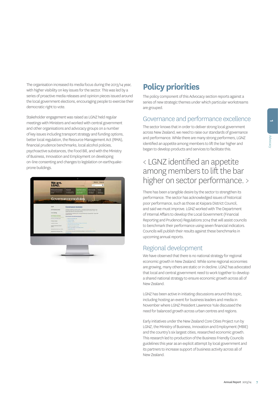The organisation increased its media focus during the 2013/14 year, with higher visibility on key issues for the sector. This was led by a series of proactive media releases and opinion pieces issued around the local government elections, encouraging people to exercise their democratic right to vote.

Stakeholder engagement was raised as LGNZ held regular meetings with Ministers and worked with central government and other organisations and advocacy groups on a number of key issues including transport strategy and funding options, better local regulation, the Resource Management Act (RMA), financial prudence benchmarks, local alcohol policies, psychoactive substances, the Food Bill, and with the Ministry of Business, Innovation and Employment on developing on-line consenting and changes to legislation on earthquakeprone buildings.

| <b>KCyLyce/Government</b><br><b>For Fachs Assessment</b><br>w | <b>Right &amp; Honefine</b><br><b>Our work</b><br>News & mecka<br><b>Wadesha</b><br><b>Dol analish in pray</b><br><b>Jokel-Venis AND</b><br><b><i><u>Programment</u></i></b><br>And concession for any |
|---------------------------------------------------------------|--------------------------------------------------------------------------------------------------------------------------------------------------------------------------------------------------------|
|                                                               |                                                                                                                                                                                                        |
|                                                               | Governance modules                                                                                                                                                                                     |
| <b>TIGHT</b>                                                  | Governance modules                                                                                                                                                                                     |
| 3:47 models and grandman                                      | (Insecured known) and exposed formed. These half that becomes tasks discribed and<br>presented below carry level has by painted in this decide around the Jersey of the                                |
| Certurns                                                      | prestricts after meetings to an internal granting.<br>The promotions have familial decised to its procedure above your of granted others. We are a vital                                               |
| <b>Greenway</b> metal                                         | premier premier<br>Greensees sunhar wishbook                                                                                                                                                           |
| <b>Science commenced</b>                                      | A Workship processing case:                                                                                                                                                                            |
| <b>Cooky hoster</b>                                           | 4 Slowing Avenue<br>J. Ermienhouse                                                                                                                                                                     |
| <b>Coracio consid</b>                                         | 1 Forest process short tribute best links                                                                                                                                                              |
| <b>FRANK (Parliam Grank)</b>                                  | a testia he securitario tizza.<br>in the content of the content of the bank                                                                                                                            |
|                                                               | A West & Holycamina of all factor awares<br>4 Sconsort's core                                                                                                                                          |
|                                                               | \$1,000 for start and start the firmerise bookings are littled concilered ballets.                                                                                                                     |
|                                                               | <b><i><u>Install</u></i></b>                                                                                                                                                                           |
|                                                               |                                                                                                                                                                                                        |
|                                                               | <b>KONSTRUCT</b>                                                                                                                                                                                       |
|                                                               | painty 1.<br>delivery than lots was abused \$30 CM.<br>interfective's components of                                                                                                                    |

# **Policy priorities**

The policy component of this Advocacy section reports against a series of new strategic themes under which particular workstreams are grouped.

# Governance and performance excellence

The sector knows that in order to deliver strong local government across New Zealand, we need to raise our standards of governance and performance. While there are many strong performers, LGNZ identified an appetite among members to lift the bar higher and began to develop products and services to facilitate this.

# < LGNZ identified an appetite among members to lift the bar higher on sector performance. >

There has been a tangible desire by the sector to strengthen its performance. The sector has acknowledged issues of historical poor performance, such as those at Kaipara District Council, and said we must improve. LGNZ worked with The Department of Internal Affairs to develop the Local Government (Financial Reporting and Prudence) Regulations 2014 that will assist councils to benchmark their performance using seven financial indicators. Councils will publish their results against these benchmarks in upcoming annual reports.

# Regional development

We have observed that there is no national strategy for regional economic growth in New Zealand. While some regional economies are growing, many others are static or in decline. LGNZ has advocated that local and central government need to work together to develop a shared national strategy to ensure economic growth across all of New Zealand.

LGNZ has been active in initiating discussions around this topic, including hosting an event for business leaders and media in November where LGNZ President Lawrence Yule discussed the need for balanced growth across urban centres and regions.

Early initiatives under the New Zealand Core Cities Project run by LGNZ, the Ministry of Business, Innovation and Employment (MBIE) and the country's six largest cities, researched economic growth. This research led to production of the Business Friendly Councils guidelines this year as an explicit attempt by local government and its partners to increase support of business activity across all of New Zealand.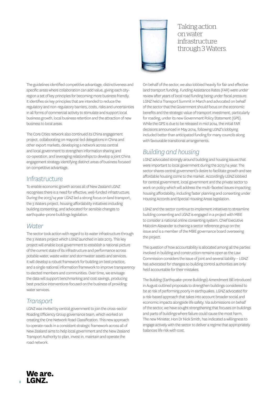

Taking action on water infrastructure through 3 Waters.

The guidelines identified competitive advantage, distinctiveness and specific areas where collaboration can add value, giving each cityregion a set of key principles for becoming more business friendly. It identifies six key principles that are intended to reduce the regulatory and non-regulatory barriers, costs, risks and uncertainties in all forms of commercial activity to stimulate and support local business growth, local business retention and the attraction of new business to local areas.

The Core Cities network also continued its China engagement project, collaborating on mayoral-led delegations in China and other export markets, developing a network across central and local government to strengthen information sharing and co-operation, and leveraging relationships to develop a joint China engagement strategy identifying distinct areas of business focused on competitive advantage.

### **Infrastructure**

To enable economic growth across all of New Zealand LGNZ recognises there is a need for effective, well-funded infrastructure. During the 2013/14 year LGNZ led a strong focus on land transport, the 3 Waters project, housing affordability initiatives including building consenting, and advocated for sensible changes to earthquake-prone buildings legislation.

## *Water*

The sector took action with regard to its water infrastructure through the 3 Waters project which LGNZ launched in late 2013. This key project will enable local government to establish a national picture of the current state of its infrastructure and performance across potable water, waste water and stormwater assets and services. It will develop a robust framework for building on best practice, and a single national information framework to improve transparency to elected members and communities. Over time, we envisage the data will support benchmarking and cost savings, producing best practice interventions focused on the business of providing water services.

# *Transport*

LGNZ was invited by central government to join the cross-sector Roading Efficiency Group governance team, which worked on creating the One Network Road Classification. This new approach to operate roads in a consistent strategic framework across all of New Zealand aims to help local government and the New Zealand Transport Authority to plan, invest in, maintain and operate the road network.

On behalf of the sector, we also lobbied heavily for fair and effective land transport funding. Funding Assistance Rates (FAR) were under review after years of local road funding being under fiscal pressure. LGNZ held a Transport Summit in March and advocated on behalf of the sector that the Government should focus on the economic benefits and the strategic value of transport investment, particularly for roading, under its new Government Policy Statement (GPS). While the GPS is due to be released in mid 2014, the initial FAR decisions announced in May 2014, following LGNZ's lobbying included better than anticipated funding for many councils along with favourable transitional arrangements.

# *Building and housing*

LGNZ advocated strongly around building and housing issues that were important to local government during the 2013/14 year. The sector shares central government's desire to facilitate growth and see affordable housing come to the market. Accordingly LGNZ lobbied for central government, local government and the private sector to work on policy which will address the multi-faceted issues impacting housing affordability, including faster planning and consenting under Housing Accords and Special Housing Areas legislation.

LGNZ and the sector continue to implement initiatives to streamline building consenting and LGNZ is engaged in a project with MBIE to consider a national online consenting system. Chief Executive Malcolm Alexander is chairing a sector reference group on the issue and is a member of the MBIE governance board overseeing the project.

The question of how accountability is allocated among all the parties involved in building and construction remains open as the Law Commission considers the issue of joint and several liability – LGNZ has advocated for changes so building control authorities are only held accountable for their mistakes.

The Building (Earthquake-prone Buildings) Amendment Bill introduced in August outlined proposals to strengthen buildings considered to be at risk of performing poorly in earthquakes. LGNZ advocated for a risk-based approach that takes into account broader social and economic impacts alongside life safety. Via submissions on behalf of the sector, we have sought strengthening that focuses on buildings and parts of buildings where failure could cause the most harm. The new Minister, Hon Dr Nick Smith, has indicated a willingness to engage actively with the sector to deliver a regime that appropriately balances life risk with cost.

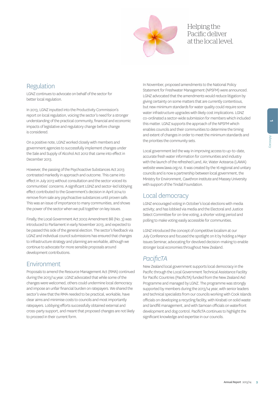

# Helping the Pacific deliver at the local level.

# Regulation

LGNZ continues to advocate on behalf of the sector for better local regulation.

In 2013, LGNZ inputted into the Productivity Commission's report on local regulation, voicing the sector's need for a stronger understanding of the practical community, financial and economic impacts of legislative and regulatory change before change is considered.

On a positive note, LGNZ worked closely with members and government agencies to successfully implement changes under the Sale and Supply of Alcohol Act 2012 that came into effect in December 2013.

However, the passing of the Psychoactive Substances Act 2013 contrasted markedly in approach and outcome. This came into effect in July 2013 without consultation and the sector voiced its communities' concerns. A significant LGNZ and sector-led lobbying effect contributed to the Government's decision in April 2014 to remove from sale any psychoactive substances until proven safe. This was an issue of importance to many communities, and shows the power of the sector when we pull together on key issues.

Finally, the Local Government Act 2002 Amendment Bill (No. 3) was introduced to Parliament in early November 2013, and expected to be passed this side of the general election. The sector's feedback via LGNZ and individual council submissions has ensured that changes to infrastructure strategy and planning are workable, although we continue to advocate for more sensible proposals around development contributions.

# Environment

Proposals to amend the Resource Management Act (RMA) continued during the 2013/14 year. LGNZ advocated that while some of the changes were welcomed, others could undermine local democracy and impose an unfair financial burden on ratepayers. We shared the sector's view that the RMA needed to be practical, workable, have clear aims and minimise costs to councils and most importantly ratepayers. Lobbying efforts successfully obtained external and cross-party support, and meant that proposed changes are not likely to proceed in their current form.

In November, proposed amendments to the National Policy Statement for Freshwater Management (NPSFM) were announced. LGNZ advocated that the amendments would reduce litigation by giving certainty on some matters that are currently contentious, but new minimum standards for water quality could require some water infrastructure upgrades with likely cost implications. LGNZ co-ordinated a sector-wide submission for members which included this matter. LGNZ supports the approach of the NPSFM which enables councils and their communities to determine the timing and extent of changes in order to meet the minimum standards and the priorities the community sets.

Local government led the way in improving access to up-to-date, accurate fresh water information for communities and industry with the launch of the refreshed Land, Air, Water Aotearoa (LAWA) website www.lawa.org.nz. It was created by the 16 regional and unitary councils and is now a partnership between local government, the Ministry for Environment, Cawthron Institute and Massey University with support of the Tindall Foundation.

# Local democracy

LGNZ encouraged voting in October's local elections with media activity; and has lobbied via media and the Electoral and Justice Select Committee for on-line voting, a shorter voting period and polling to make voting easily accessible for communities.

LGNZ introduced the concept of competitive localism at our July Conference and focused the spotlight on it by holding a Major Issues Seminar, advocating for devolved decision-making to enable stronger local economies throughout New Zealand.

# *PacificTA*

New Zealand local government supports local democracy in the Pacific through the Local Government Technical Assistance Facility for Pacific Countries (PacificTA) funded from the New Zealand Aid Programme and managed by LGNZ. The programme was strongly supported by members during the 2013/14 year, with senior leaders and technical specialists from our councils working with Cook Islands officials on developing a recycling facility, with Kirabati on solid waste and landfill management, and with Samoan officials on waterfront development and dog control. PacificTA continues to highlight the significant knowledge and expertise in our councils.

1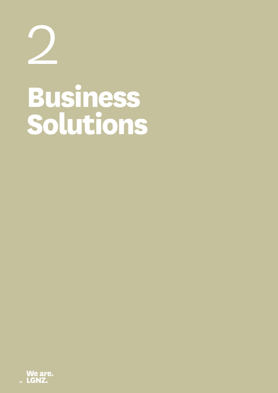2

# **Business Solutions**

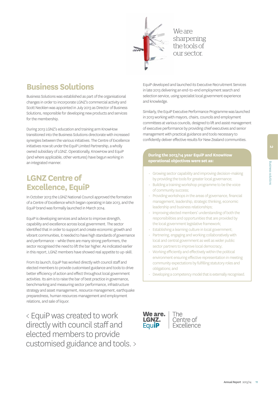We are sharpening the tools of our sector.

# **Business Solutions**

Business Solutions was established as part of the organisational changes in order to incorporate LGNZ's commercial activity and Scott Necklen was appointed in July 2013 as Director of Business Solutions, responsible for developing new products and services for the membership.

During 2013 LGNZ's education and training arm KnowHow transitioned into the Business Solutions directorate with increased synergies between the various initiatives. The Centre of Excellence initiatives now sit under the EquiP Limited Partnership, a wholly owned subsidiary of LGNZ. Operationally, KnowHow and EquiP (and where applicable, other ventures) have begun working in an integrated manner.

# **LGNZ Centre of Excellence, EquiP**

In October 2013 the LGNZ National Council approved the formation of a Centre of Excellence which began operating in late 2013, and the EquiP brand was formally launched in March 2014.

EquiP is developing services and advice to improve strength, capability and excellence across local government. The sector identified that in order to support and create economic growth and vibrant communities, it needed to have high standards of governance and performance – while there are many strong performers, the sector recognised the need to lift the bar higher. As indicated earlier in this report, LGNZ members have showed real appetite to up-skill.

From its launch, EquiP has worked directly with council staff and elected members to provide customised guidance and tools to drive better efficiency of action and effect throughout local government activities. Its aim is to raise the bar of best practice in governance, benchmarking and measuring sector performance, infrastructure strategy and asset management, resource management, earthquake preparedness, human resources management and employment relations, and sale of liquor.

< EquiP was created to work directly with council staff and elected members to provide customised guidance and tools. > EquiP developed and launched its Executive Recruitment Services in late 2013 delivering an end-to-end employment search and selection service, using specialist local government experience and knowledge.

Similarly, the EquiP Executive Performance Programme was launched in 2013 working with mayors, chairs, councils and employment committees at various councils, designed to lift and assist management of executive performance by providing chief executives and senior management with practical guidance and tools necessary to confidently deliver effective results for New Zealand communities.

### **During the 2013/14 year EquiP and KnowHow operational objectives were set as:**

- Growing sector capability and improving decision-making by providing the tools for greater local governance;
- Building a training workshop programme to be the voice of community success;
- Providing workshops in the areas of governance, financial management, leadership, strategic thinking, economic leadership and business relationships;
- Improving elected members' understanding of both the responsibilities and opportunities that are provided by the local government legislative framework;
- Establishing a learning culture in local government;
- Partnering, engaging and working collaboratively with local and central government as well as wider public sector partners to improve local democracy;
- Working efficiently and effectively within the political environment ensuring effective representation in meeting community expectations by fulfilling statutory roles and obligations; and
- Developing a competency model that is externally recognised.



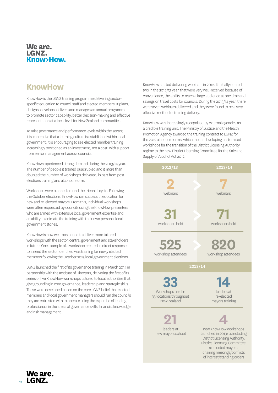### We are. LGNZ. Know>How.

# **KnowHow**

KnowHow is the LGNZ training programme delivering sectorspecific education to council staff and elected members. It plans, designs, develops, delivers and manages an annual programme to promote sector capability, better decision-making and effective representation at a local level for New Zealand communities.

To raise governance and performance levels within the sector, it is imperative that a learning culture is established within local government. It is encouraging to see elected member training increasingly positioned as an investment, not a cost, with support from senior management across councils.

KnowHow experienced strong demand during the 2013/14 year. The number of people it trained quadrupled and it more than doubled the number of workshops delivered, in part from postelections training and alcohol reform.

Workshops were planned around the triennial cycle. Following the October elections, KnowHow ran successful education for new and re-elected mayors. From this, individual workshops were often requested by councils using the KnowHow presenters who are armed with extensive local government expertise and an ability to animate the training with their own personal local government stories.

KnowHow is now well-positioned to deliver more tailored workshops with the sector, central government and stakeholders in future. One example of a workshop created in direct response to a need the sector identified was training for newly elected members following the October 2013 local government elections.

LGNZ launched the first of its governance training in March 2014 in partnership with the Institute of Directors, delivering the first of its series of five KnowHow workshops tailored to local authorities that give grounding in core governance, leadership and strategic skills. These were developed based on the core LGNZ belief that elected members and local government managers should run the councils they are entrusted with to operate using the expertise of leading professionals in the areas of governance skills, financial knowledge and risk management.

KnowHow started delivering webinars in 2012. It initially offered two in the 2012/13 year, that were very well-received because of convenience, the ability to reach a large audience at one time and savings on travel costs for councils. During the 2013/14 year, there were seven webinars delivered and they were found to be a very effective method of training delivery.

KnowHow was increasingly recognised by external agencies as a credible training unit. The Ministry of Justice and the Health Promotion Agency awarded the training contract to LGNZ for the 2012 alcohol reforms, which meant developing customised workshops for the transition of the District Licensing Authority regime to the new District Licensing Committee for the Sale and Supply of Alcohol Act 2012.

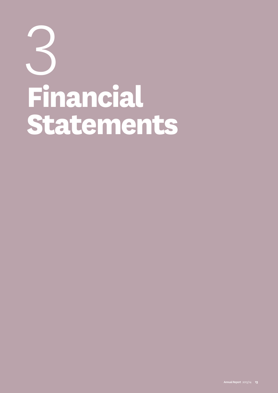# **Financial Statements**  3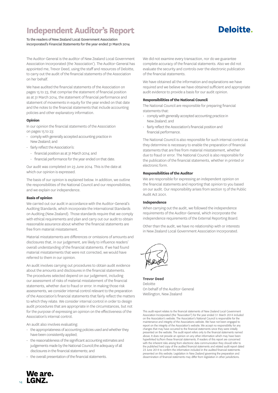# **Independent Auditor's Report**

To the readers of New Zealand Local Government Association incorporated's Financial Statements for the year ended 31 March 2014

The Auditor-General is the auditor of New Zealand Local Government Association Incorporated (the 'Association'). The Auditor-General has appointed me, Trevor Deed, using the staff and resources of Deloitte, to carry out the audit of the financial statements of the Association on her behalf.

We have audited the financial statements of the Association on pages 15 to 23, that comprise the statement of financial position as at 31 March 2014, the statement of financial performance and statement of movements in equity for the year ended on that date and the notes to the financial statements that include accounting policies and other explanatory information.

### **Opinion**

In our opinion the financial statements of the Association on pages 15 to 23:

- comply with generally accepted accounting practice in New Zealand; and
- fairly reflect the Association's:
- financial position as at 31 March 2014; and
- financial performance for the year ended on that date.

Our audit was completed on 23 June 2014. This is the date at which our opinion is expressed.

The basis of our opinion is explained below. In addition, we outline the responsibilities of the National Council and our responsibilities, and we explain our independence.

### **Basis of opinion**

We carried out our audit in accordance with the Auditor-General's Auditing Standards, which incorporate the International Standards on Auditing (New Zealand). Those standards require that we comply with ethical requirements and plan and carry out our audit to obtain reasonable assurance about whether the financial statements are free from material misstatement.

Material misstatements are differences or omissions of amounts and disclosures that, in our judgement, are likely to influence readers' overall understanding of the financial statements. If we had found material misstatements that were not corrected, we would have referred to them in our opinion.

An audit involves carrying out procedures to obtain audit evidence about the amounts and disclosures in the financial statements. The procedures selected depend on our judgement, including our assessment of risks of material misstatement of the financial statements, whether due to fraud or error. In making those risk assessments, we consider internal control relevant to the preparation of the Association's financial statements that fairly reflect the matters to which they relate. We consider internal control in order to design audit procedures that are appropriate in the circumstances, but not for the purpose of expressing an opinion on the effectiveness of the Association's internal control.

An audit also involves evaluating:

- the appropriateness of accounting policies used and whether they have been consistently applied;
- the reasonableness of the significant accounting estimates and judgements made by the National Council; the adequacy of all disclosures in the financial statements; and
- the overall presentation of the financial statements.

We did not examine every transaction, nor do we guarantee complete accuracy of the financial statements. Also we did not evaluate the security and controls over the electronic publication of the financial statements.

We have obtained all the information and explanations we have required and we believe we have obtained sufficient and appropriate audit evidence to provide a basis for our audit opinion.

### **Responsibilities of the National Council**

The National Council are responsible for preparing financial statements that:

- comply with generally accepted accounting practice in New Zealand; and
- fairly reflect the Association's financial position and financial performance.

The National Council is also responsible for such internal control as they determine is necessary to enable the preparation of financial statements that are free from material misstatement, whether due to fraud or error. The National Council is also responsible for the publication of the financial statements, whether in printed or electronic form.

### **Responsibilities of the Auditor**

We are responsible for expressing an independent opinion on the financial statements and reporting that opinion to you based on our audit. Our responsibility arises from section 15 of the Public Audit Act 2001.

### **Independence**

When carrying out the audit, we followed the independence requirements of the Auditor-General, which incorporate the independence requirements of the External Reporting Board.

Other than the audit, we have no relationship with or interests in New Zealand Local Government Association Incorporated.



**Trevor Deed** Deloitte On behalf of the Auditor-General Wellington, New Zealand

This audit report relates to the financial statements of New Zealand Local Government Association Incorporated (the "Association") for the year ended 31 March 2014 included on the Association's website. The Association's National Council is responsible for the maintenance and integrity of the Associations website. We have not been engaged to report on the integrity of the Association's website. We accept no responsibility for any changes that may have occurred to the financial statements since they were initially presented on the website. The audit report refers only to the financial statements named above. It does not provide an opinion on any other information which may have been hyperlinked to/from these financial statements. If readers of this report are concerned with the inherent risks arising from electronic data communication they should refer to the published hard copy of the audited financial statements and related audit report dated 23 June 2014 to confirm the information included in the audited financial statements presented on this website. Legislation in New Zealand governing the preparation and dissemination of financial statements may differ from legislation in other jurisdictions.



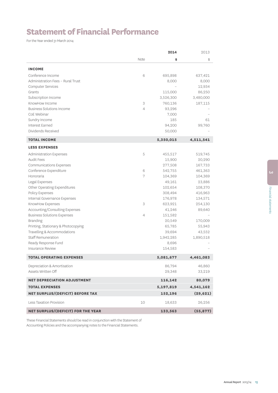# **Statement of Financial Performance**

For the Year ended 31 March 2014

| Note<br><b>INCOME</b><br>Conference Income<br>Administration Fees - Rural Trust | 6              | \$<br>695,898<br>8,000 | \$<br>637,421 |
|---------------------------------------------------------------------------------|----------------|------------------------|---------------|
|                                                                                 |                |                        |               |
|                                                                                 |                |                        |               |
|                                                                                 |                |                        |               |
|                                                                                 |                |                        | 8,000         |
| <b>Computer Services</b>                                                        |                |                        | 12,934        |
| Grants                                                                          |                | 115,000                | 86,250        |
| Subscription Income                                                             |                | 3,526,300              | 3,480,000     |
| KnowHow Income                                                                  | 3              | 760,136                | 187,115       |
| <b>Business Solutions Income</b>                                                | $\overline{4}$ | 93,296                 |               |
| CoE Webinar                                                                     |                | 7,000                  |               |
| Sundry Income                                                                   |                | 185                    | 61            |
| Interest Earned                                                                 |                | 94,200                 | 99,760        |
| Dividends Received                                                              |                | 50,000                 |               |
| <b>TOTAL INCOME</b>                                                             |                | 5,350,015              | 4,511,541     |
| <b>LESS EXPENSES</b>                                                            |                |                        |               |
| <b>Administration Expenses</b>                                                  | 5              | 455,517                | 519,745       |
| Audit Fees                                                                      |                | 15,900                 | 20,290        |
| <b>Communications Expenses</b>                                                  |                | 277,508                | 167,733       |
| Conference Expenditure                                                          | 6              | 542,755                | 461,363       |
| Honoraria                                                                       | 7              | 104,369                | 104,369       |
| Legal Expenses                                                                  |                | 49,161                 | 23,886        |
| Other Operating Expenditures                                                    |                | 102,654                | 108,370       |
| Policy Expenses                                                                 |                | 308,494                | 416,963       |
| Internal Governance Expenses                                                    |                | 176,978                | 134,571       |
| KnowHow Expenses                                                                | 3              | 623,921                | 254,130       |
| Accounting/Consulting Expenses                                                  |                | 41,246                 | 89,640        |
| <b>Business Solutions Expenses</b>                                              | $\overline{4}$ | 151,582                |               |
| <b>Branding</b>                                                                 |                | 20,549                 | 170,009       |
|                                                                                 |                | 65,785                 | 55,943        |
| Printing, Stationary & Photocopying<br>Travelling & Accommodations              |                |                        | 43,552        |
| <b>Staff Remuneration</b>                                                       |                | 39,694                 |               |
| Ready Response Fund                                                             |                | 1,942,285              | 1,890,518     |
|                                                                                 |                | 8,696                  |               |
| Insurance Review                                                                |                | 154,583                |               |
| <b>TOTAL OPERATING EXPENSES</b>                                                 |                | 5,081,677              | 4,461,083     |
| Depreciation & Amortisation                                                     |                | 86,794                 | 46,860        |
| Assets Written Off                                                              |                | 29,348                 | 33,219        |
| <b>NET DEPRECIATION ADJUSTMENT</b>                                              |                | 116,142                | 80,079        |
| <b>TOTAL EXPENSES</b>                                                           |                | 5,197,819              | 4,541,162     |
| <b>NET SURPLUS/(DEFICIT) BEFORE TAX</b>                                         |                | 152,196                | (29, 621)     |
| Less Taxation Provision                                                         | 10             | 18,633                 | 26,256        |
| NET SURPLUS/(DEFICIT) FOR THE YEAR                                              |                | 133,563                | (55, 877)     |

These Financial Statements should be read in conjunction with the Statement of Accounting Policies and the accompanying notes to the Financial Statements.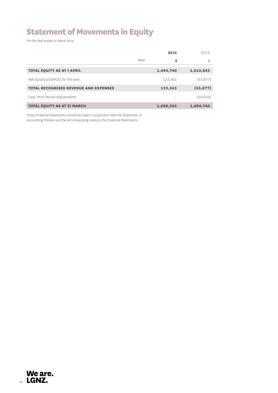# **Statement of Movements in Equity**

For the Year ended 31 March 2014

|                                              |             | 2014      | 2013      |
|----------------------------------------------|-------------|-----------|-----------|
|                                              | <b>Note</b> | \$        | \$        |
| <b>TOTAL EQUITY AS AT 1 APRIL</b>            |             | 1,494,740 | 1,610,243 |
| Net Surplus/(Deficit) for the year           |             | 133,563   | (55, 877) |
| <b>TOTAL RECOGNISED REVENUE AND EXPENSES</b> |             | 133,563   | (55, 877) |
| Less: Prior Period Adjustments               |             |           | (59,626)  |
| <b>TOTAL EQUITY AS AT 31 MARCH</b>           |             | 1,628,303 | 1,494,740 |

These Financial Statements should be read in conjunction with the Statement of Accounting Policies and the accompanying notes to the Financial Statements.

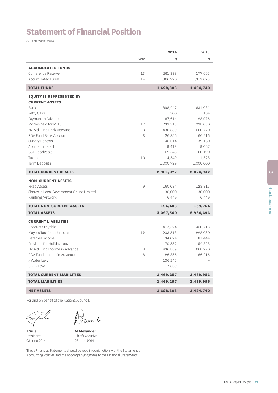# **Statement of Financial Position**

As at 31 March 2014

|                                           |      | 2014      | 2013      |
|-------------------------------------------|------|-----------|-----------|
|                                           | Note | \$        | \$        |
| <b>ACCUMULATED FUNDS</b>                  |      |           |           |
| Conference Reserve                        | 13   | 261,333   | 177,665   |
| <b>Accumulated Funds</b>                  | 14   | 1,366,970 | 1,317,075 |
| <b>TOTAL FUNDS</b>                        |      | 1,628,303 | 1,494,740 |
| <b>EQUITY IS REPRESENTED BY:</b>          |      |           |           |
| <b>CURRENT ASSETS</b>                     |      |           |           |
| Bank                                      |      | 898,247   | 631,081   |
| Petty Cash                                |      | 300       | 164       |
| Payment in Advance                        |      | 87,614    | 128,976   |
| Monies held for MTFJ                      | 12   | 233,318   | 228,030   |
| NZ Aid Fund Bank Account                  | 8    | 436,889   | 660,720   |
| <b>RGA Fund Bank Account</b>              | 8    | 26,856    | 66,216    |
| Sundry Debtors                            |      | 140,614   | 39,160    |
| <b>Accrued Interest</b>                   |      | 9,413     | 9,067     |
| <b>GST Receivable</b>                     |      | 62,548    | 60,190    |
| Taxation                                  | 10   | 4,549     | 1,328     |
| Term Deposits                             |      | 1,000,729 | 1,000,000 |
| <b>TOTAL CURRENT ASSETS</b>               |      | 2,901,077 | 2,824,932 |
| <b>NON-CURRENT ASSETS</b>                 |      |           |           |
| <b>Fixed Assets</b>                       | 9    | 160,034   | 123,315   |
| Shares in Local Government Online Limited |      | 30,000    | 30,000    |
| Paintings/Artwork                         |      | 6,449     | 6,449     |
| <b>TOTAL NON-CURRENT ASSETS</b>           |      | 196,483   | 159,764   |
| <b>TOTAL ASSETS</b>                       |      | 3,097,560 | 2,984,696 |
| <b>CURRENT LIABILITIES</b>                |      |           |           |
| Accounts Payable                          |      | 413,524   | 400,718   |
| Mayors Taskforce for Jobs                 | 12   | 233,318   | 228,030   |
| Deferred Income                           |      | 134,024   | 81,444    |
| Provision for Holiday Leave               |      | 70,532    | 52,828    |
| NZ Aid Fund Income in Advance             | 8    | 436,889   | 660,720   |
| RGA Fund Income in Advance                | 8    | 26,856    | 66,216    |
| 3 Water Levy                              |      | 136,245   |           |
| <b>CBEC Levy</b>                          |      | 17,869    |           |
| <b>TOTAL CURRENT LIABILITIES</b>          |      | 1,469,257 | 1,489,956 |
| <b>TOTAL LIABILITIES</b>                  |      | 1,469,257 | 1,489,956 |
| <b>NET ASSETS</b>                         |      | 1,628,303 | 1,494,740 |

For and on behalf of the National Council:

<sup>Z</sup>

**L Yule** President 23 June 2014

Gereart

**M Alexander**  Chief Executive 23 June 2014

These Financial Statements should be read in conjunction with the Statement of Accounting Policies and the accompanying notes to the Financial Statements.

Financial statements

**Financial statements**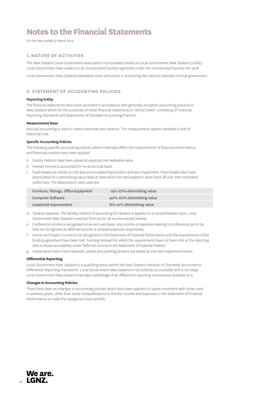For the Year ended 31 March 2014

### **1. NATURE OF ACTIVITIES**

The New Zealand Local Government Association Incorporated trades as Local Government New Zealand (LGNZ). Local Government New Zealand is an incorporated society registered under the Incorporated Society Act 1908.

Local Government New Zealand represents local authorities in promoting the national interests of local government.

### **2. STATEMENT OF ACCOUNTING POLICIES**

### **Reporting Entity**

The financial statements have been recorded in accordance with generally accepted accounting practice in New Zealand which for the purposes of these financial statements is 'old NZ GAAP', consisting of Financial Reporting Standards and Statements of Standard Accounting Practice.

### **Measurement Base**

Accrual accounting is used to match expenses and revenue. The measurement system adopted is that of historical cost.

### **Specific Accounting Policies**

The following specific accounting policies which materially affect the measurement of financial performance and financial position have been applied:

- a. Sundry Debtors have been valued at expected net realisable value.
- b. Interest Income is accounted for on an accrual basis.
- c. Fixed Assets are shown at cost less accumulated depreciation and less impairment. Fixed Assets have been depreciated on a diminishing value basis at rates which are anticipated to write them off over their estimated useful lives. The depreciation rates used are:

| Furniture, Fittings, Office Equipment | 14%-67% diminishing value |
|---------------------------------------|---------------------------|
| <b>Computer Software</b>              | 40%-60% diminishing value |
| Leasehold Improvement                 | 8%-10% diminishing value  |

- d. Taxation expense: The liability method of accounting for taxation is applied on a comprehensive basis. Local Government New Zealand is exempt from tax for all income except interest.
- e. Conference income is recognised on an accruals basis. Any income or expenses relating to conferences yet to be held are recognised as deferred income or prepaid expenses respectively.
- f. Grants and Project Income is not recognised in the Statement of Financial Performance until the requirements of the funding agreement have been met. Funding received for which the requirements have not been met at the reporting date is shown as a liability under Deferred Income in the Statement of Financial Position.
- g. Investments held in term deposits, shares and painting/artwork are stated at cost less impairment losses.

### **Differential Reporting**

Local Government New Zealand is a qualifying entity within the New Zealand Institute of Chartered Accountants Differential Reporting Framework. Local Government New Zealand is not publicly accountable and is not large. Local Government New Zealand has taken advantage of all differential reporting concessions available to it.

### **Changes in Accounting Policies**

There have been no changes in accounting policies which have been applied on bases consistent with those used in previous years, other than some reclassifications in the the income and expenses in the Statement of Financial Performance to make the categories more specific.

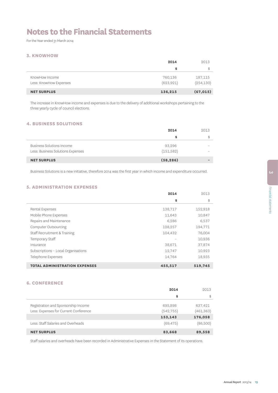For the Year ended 31 March 2014

### **3. KNOWHOW**

|                                          | 2014                  | 2013                  |
|------------------------------------------|-----------------------|-----------------------|
|                                          | \$                    | \$                    |
| KnowHow Income<br>Less: KnowHow Expenses | 760,136<br>(623, 921) | 187,115<br>(254, 130) |
| <b>NET SURPLUS</b>                       | 136,215               | (67, 015)             |

The increase in KnowHow income and expenses is due to the delivery of additional workshops pertaining to the three yearly cycle of council elections.

### **4. BUSINESS SOLUTIONS**

|                                                                | 2014                 | 2013           |
|----------------------------------------------------------------|----------------------|----------------|
|                                                                | S                    | $$\mathbb{S}$$ |
| Business Solutions Income<br>Less: Business Solutions Expenses | 93,296<br>(151, 582) |                |
| <b>NET SURPLUS</b>                                             | (58, 286)            |                |

Business Solutions is a new initiative, therefore 2014 was the first year in which income and expenditure occurred.

### **5. ADMINISTRATION EXPENSES**

|                                      | 2014    | 2013    |
|--------------------------------------|---------|---------|
|                                      | \$      | \$      |
| Rental Expenses                      | 138,717 | 152,918 |
| Mobile Phone Expenses                | 11,643  | 10,847  |
| Repairs and Maintenance              | 6,286   | 6,537   |
| <b>Computer Outsourcing</b>          | 128,257 | 194,771 |
| Staff Recruitment & Training         | 104,432 | 76,004  |
| Temporary Staff                      |         | 10,936  |
| Insurance                            | 38,671  | 37,874  |
| Subscriptions - Local Organisations  | 12,747  | 10,923  |
| Telephone Expenses                   | 14.764  | 18.935  |
| <b>TOTAL ADMINISTRATION EXPENSES</b> | 455,517 | 519,745 |

### **6. CONFERENCE**

|                                       | 2014       | 2013       |
|---------------------------------------|------------|------------|
|                                       | \$         | \$         |
| Registration and Sponsorship Income   | 695,898    | 637,421    |
| Less: Expenses for Current Conference | (542, 755) | (461, 363) |
|                                       | 153,143    | 176,058    |
| Less: Staff Salaries and Overheads    | (69, 475)  | (86,500)   |
| <b>NET SURPLUS</b>                    | 83,668     | 89,558     |

Staff salaries and overheads have been recorded in Administrative Expenses in the Statement of its operations.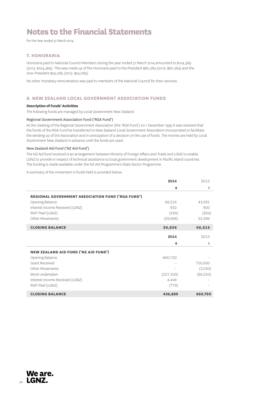For the Year ended 31 March 2014

### **7. HONORARIA**

Honoraria paid to National Council Members during the year ended 31 March 2014 amounted to \$104,369 (2013: \$104,369). This was made up of the Honoraria paid to the President \$80,284 (2013: \$80,284) and the Vice-President \$24,085 (2013: \$24,085).

No other monetary remuneration was paid to members of the National Council for their services.

### **8. NEW ZEALAND LOCAL GOVERNMENT ASSOCIATION FUNDS**

### **Description of Funds' Activities**

The following funds are managed by Local Government New Zealand:

### Regional Government Association Fund ('RGA Fund')

At the meeting of the Regional Government Association (the 'RGA Fund') on 1 December 1995 it was resolved that the funds of the RGA Fund be transferred to New Zealand Local Government Association Incorporated to facilitate the winding up of the Association and in anticipation of a decision on the use of funds. The monies are held by Local Government New Zealand in advance until the funds are used.

### New Zealand Aid Fund ('NZ Aid Fund')

The NZ Aid fund received is an arrangement between Ministry of Foreign Affairs and Trade and LGNZ to enable LGNZ to provide in respect of technical assistance to local government development in Pacific Island countries. The funding is made available under the NZ Aid Programme's State Sector Programme.

A summary of the movement in funds held is provided below:

|                                                          | 2014      | 2013      |
|----------------------------------------------------------|-----------|-----------|
|                                                          | \$        | \$        |
| <b>REGIONAL GOVERNMENT ASSOCIATION FUND ('RGA FUND')</b> |           |           |
| Opening Balance                                          | 66,216    | 43,281    |
| Interest Income Received (LGNZ)                          | 922       | 800       |
| RWT Paid (LGNZ)                                          | (284)     | (264)     |
| Other Movements                                          | (39,998)  | 22,399    |
| <b>CLOSING BALANCE</b>                                   | 26,856    | 66,216    |
|                                                          | 2014      | 2013      |
|                                                          | \$        | \$        |
| <b>NEW ZEALAND AID FUND ('NZ AID FUND')</b>              |           |           |
| Opening Balance                                          | 660,720   |           |
| <b>Grant Received</b>                                    |           | 750,000   |
| Other Movements                                          |           | (3,030)   |
| Work Undertaken                                          | (227,500) | (86, 250) |
| Interest Income Received (LGNZ)                          | 4,448     |           |
| RWT Paid (LGNZ)                                          | (779)     |           |
| <b>CLOSING BALANCE</b>                                   | 436,889   | 660,720   |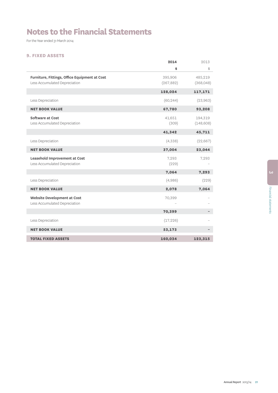For the Year ended 31 March 2014

### **9. FIXED ASSETS**

|                                                                                | 2014                  | 2013                  |
|--------------------------------------------------------------------------------|-----------------------|-----------------------|
|                                                                                | \$                    | \$                    |
| Furniture, Fittings, Office Equipment at Cost<br>Less Accumulated Depreciation | 395,906<br>(267, 882) | 485,219<br>(368, 048) |
|                                                                                | 128,024               | 117,171               |
| Less Depreciation                                                              | (60, 244)             | (23,963)              |
| <b>NET BOOK VALUE</b>                                                          | 67,780                | 93,208                |
| <b>Software at Cost</b><br>Less Accumulated Depreciation                       | 41,651<br>(309)       | 194,319<br>(148, 608) |
|                                                                                | 41,342                | 45,711                |
| Less Depreciation                                                              | (4,338)               | (22,667)              |
| <b>NET BOOK VALUE</b>                                                          | 37,004                | 23,044                |
| Leasehold Improvement at Cost<br>Less Accumulated Depreciation                 | 7.293<br>(229)        | 7,293                 |
|                                                                                | 7,064                 | 7,293                 |
| Less Depreciation                                                              | (4,986)               | (229)                 |
| <b>NET BOOK VALUE</b>                                                          | 2,078                 | 7,064                 |
| <b>Website Development at Cost</b><br>Less Accumulated Depreciation            | 70,399                |                       |
|                                                                                | 70,399                |                       |
| Less Depreciation                                                              | (17, 226)             |                       |
| <b>NET BOOK VALUE</b>                                                          | 53,173                |                       |
| <b>TOTAL FIXED ASSETS</b>                                                      | 160,034               | 123,315               |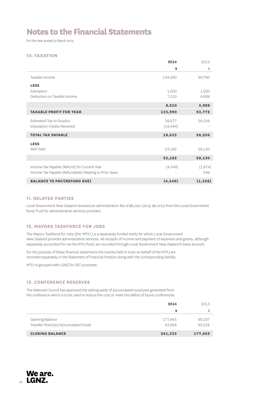For the Year ended 31 March 2014

### **10. TAXATION**

|                                                         | 2014      | 2013     |
|---------------------------------------------------------|-----------|----------|
|                                                         | \$        | \$       |
| Taxable Income                                          | 144,200   | 99,760   |
| <b>LESS</b>                                             |           |          |
| Exemption                                               | 1,000     | 1,000    |
| Deduction on Taxable Income                             | 7,210     | 4,988    |
|                                                         | 8,210     | 5,988    |
| <b>TAXABLE PROFIT FOR YEAR</b>                          | 135,990   | 93,772   |
| Estimated Tax on Surplus                                | 38,077    | 26,256   |
| <b>Imputation Credits Received</b>                      | (19, 444) |          |
| <b>TOTAL TAX PAYABLE</b>                                | 18,633    | 26,256   |
| <b>LESS</b>                                             |           |          |
| <b>RWT Paid</b>                                         | 23,182    | 28,130   |
|                                                         | 23,182    | 28,130   |
| Income Tax Payable (Refund) for Current Year            | (4,549)   | (1,874)  |
| Income Tax Payable (Refundable) Relating to Prior Years |           | 546      |
| <b>BALANCE TO PAY/(REFUND DUE)</b>                      | (4, 549)  | (1, 328) |

### **11. RELATED PARTIES**

Local Government New Zealand received an administration fee of \$8,000 (2013: \$8,000) from the Local Government Rural Trust for administrative services provided.

### **12. MAYORS TASKFORCE FOR JOBS**

The Mayors Taskforce for Jobs (the 'MTFJ') is a separately funded entity for which Local Government New Zealand provides administration services. All receipts of income and payment of expenses and grants, although separately accounted for via the MTFJ fund, are recorded through Local Government New Zealand's bank account.

For the purpose of these financial statements the monies held in trust on behalf of the MTFJ are recorded separately in the Statement of Financial Position along with the corresponding liability.

MTFJ is grouped with LGNZ for GST purposes.

### **13. CONFERENCE RESERVES**

The National Council has approved the setting aside of accumulated surpluses generated from the conference which is to be used to reduce the cost or meet the deficit of future conferences.

|                                                         | 2014              | 2013             |
|---------------------------------------------------------|-------------------|------------------|
|                                                         | s                 | \$               |
| Opening Balance<br>Transfer from/(to) Accumulated Funds | 177,665<br>83.668 | 88,107<br>89.558 |
| <b>CLOSING BALANCE</b>                                  | 261,333           | 177,665          |

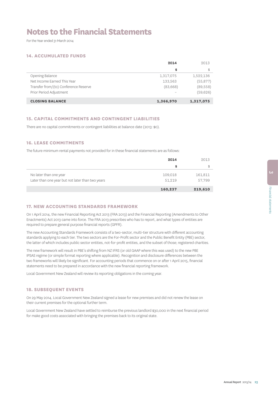For the Year ended 31 March 2014

### **14. ACCUMULATED FUNDS**

|                                       | 2014      | 2013      |
|---------------------------------------|-----------|-----------|
|                                       | \$        |           |
| Opening Balance                       | 1,317,075 | 1,522,136 |
| Net Income Earned This Year           | 133,563   | (55, 877) |
| Transfer from/(to) Conference Reserve | (83,668)  | (89, 558) |
| Prior Period Adjustment               |           | (59,626)  |
| <b>CLOSING BALANCE</b>                | 1,366,970 | 1,317,075 |

### **15. CAPITAL COMMITMENTS AND CONTINGENT LIABILITIES**

There are no capital commitments or contingent liabilities at balance date (2013: \$0).

### **16. LEASE COMMITMENTS**

The future minimum rental payments not provided for in these financial statements are as follows:

|                                                  | 2014    | 2013    |
|--------------------------------------------------|---------|---------|
|                                                  | \$      | \$      |
| No later than one year                           | 109,018 | 161,811 |
| Later than one year but not later than two years | 51.219  | 57.799  |
|                                                  | 160,237 | 219,610 |

### **17. NEW ACCOUNTING STANDARDS FRAMEWORK**

On 1 April 2014, the new Financial Reporting Act 2013 (FRA 2013) and the Financial Reporting (Amendments to Other Enactments) Act 2013 came into force. The FRA 2013 prescribes who has to report, and what types of entities are required to prepare general purpose financial reports (GPFR).

The new Accounting Standards Framework consists of a two-sector, multi-tier structure with different accounting standards applying to each tier. The two sectors are the For-Profit sector and the Public Benefit Entity (PBE) sector, the latter of which includes public sector entities, not-for-profit entities, and the subset of those; registered charities.

The new framework will result in PBE's shifting from NZ IFRS (or old GAAP where this was used) to the new PBE IPSAS regime (or simple format reporting where applicable). Recognition and disclosure differences between the two frameworks will likely be significant. For accounting periods that commence on or after 1 April 2015, financial statements need to be prepared in accordance with the new financial reporting framework.

Local Government New Zealand will review its reporting obligations in the coming year.

### **18. SUBSEQUENT EVENTS**

On 29 May 2014, Local Government New Zealand signed a lease for new premises and did not renew the lease on their current premises for the optional further term.

Local Government New Zealand have settled to reimburse the previous landlord \$30,000 in the next financial period for make good costs associated with bringing the premises back to its original state.

.<br>دى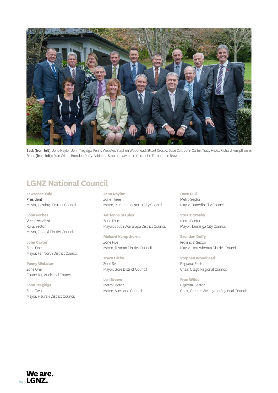

Back (from left): Jono Naylor, John Tregidga, Penny Webster, Stephen Woodhead, Stuart Crosby, Dave Cull, John Carter, Tracy Hicks, Richard Kempthorne. Front (from left): Fran Wilde, Brendan Duffy, Adrienne Staples, Lawrence Yule, John Forbes, Len Brown.

# **LGNZ National Council**

**Lawrence Yule** President Mayor, Hastings District Council

**John Forbes** Vice President Rural Sector Mayor, Opotiki District Council

**John Carter** Zone One Mayor, Far North District Council

**Penny Webster** Zone One Councillor, Auckland Council

**John Tregidga** Zone Two Mayor, Hauraki District Council **Jono Naylor** Zone Three Mayor, Palmerston North City Council

**Adrienne Staples** Zone Four Mayor, South Wairarapa District Council

**Richard Kempthorne** Zone Five Mayor, Tasman District Council

**Tracy Hicks** Zone Six Mayor, Gore District Council

**Len Brown** Metro Sector Mayor, Auckland Council

**Dave Cull** Metro Sector Mayor, Dunedin City Council

**Stuart Crosby** Metro Sector Mayor, Tauranga City Council

**Brendan Duffy** Provincial Sector Mayor, Horowhenua District Council

**Stephen Woodhead** Regional Sector Chair, Otago Regional Council

**Fran Wilde** Regional Sector Chair, Greater Wellington Regional Council

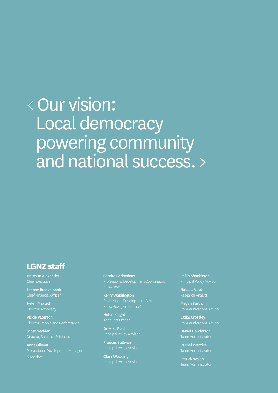# < Our vision: Local democracy powering community and national success. >

# **LGNZ staff**

Malcolm Alexander Chief Executive

Leanne Brockelbank Chief Financial Officer

Helen Mexted

Vickie Paterson

Scott Necklen

Anne Gibson Professional Development Manager, KnowHow

Sandra Scrimshaw KnowHow

Kerry Washington

Helen Knight

Dr Mike Reid

Frances Sullivan

Clare Wooding

Philip Shackleton

Natalia Fareti Research Analyst

Megan Bartrum

Jazial Crossley

Daniel Henderson Team Administrator

Rachel Prentice Team Administrator

Patrick Walsh